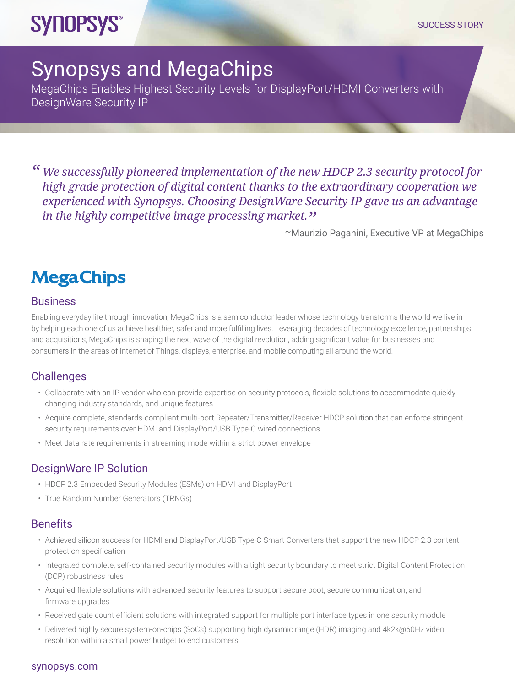# **SYNOPSYS®**

## Synopsys and MegaChips

MegaChips Enables Highest Security Levels for DisplayPort/HDMI Converters with DesignWare Security IP

*" We successfully pioneered implementation of the new HDCP 2.3 security protocol for high grade protection of digital content thanks to the extraordinary cooperation we experienced with Synopsys. Choosing DesignWare Security IP gave us an advantage in the highly competitive image processing market."* ~Maurizio Paganini, Executive VP at MegaChips

### **Mega Chips**

#### **Business**

Enabling everyday life through innovation, MegaChips is a semiconductor leader whose technology transforms the world we live in by helping each one of us achieve healthier, safer and more fulfilling lives. Leveraging decades of technology excellence, partnerships and acquisitions, MegaChips is shaping the next wave of the digital revolution, adding significant value for businesses and consumers in the areas of Internet of Things, displays, enterprise, and mobile computing all around the world.

#### **Challenges**

- Collaborate with an IP vendor who can provide expertise on security protocols, flexible solutions to accommodate quickly changing industry standards, and unique features
- Acquire complete, standards-compliant multi-port Repeater/Transmitter/Receiver HDCP solution that can enforce stringent security requirements over HDMI and DisplayPort/USB Type-C wired connections
- Meet data rate requirements in streaming mode within a strict power envelope

#### DesignWare IP Solution

- HDCP 2.3 Embedded Security Modules (ESMs) on HDMI and DisplayPort
- True Random Number Generators (TRNGs)

#### **Benefits**

- Achieved silicon success for HDMI and DisplayPort/USB Type-C Smart Converters that support the new HDCP 2.3 content protection specification
- Integrated complete, self-contained security modules with a tight security boundary to meet strict Digital Content Protection (DCP) robustness rules
- Acquired flexible solutions with advanced security features to support secure boot, secure communication, and firmware upgrades
- Received gate count efficient solutions with integrated support for multiple port interface types in one security module
- Delivered highly secure system-on-chips (SoCs) supporting high dynamic range (HDR) imaging and 4k2k@60Hz video resolution within a small power budget to end customers

#### [synopsys.com](http://synopsys.com)